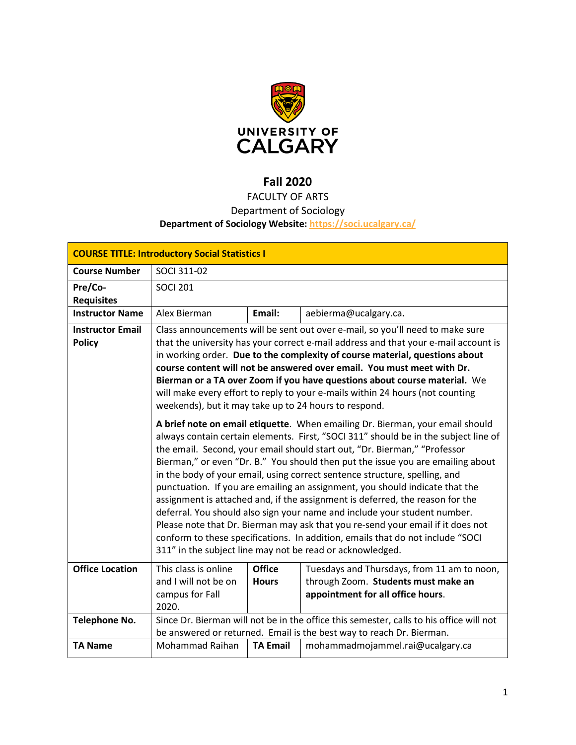

# **Fall 2020**

# FACULTY OF ARTS

## Department of Sociology

## **Department of Sociology Website:<https://soci.ucalgary.ca/>**

| <b>COURSE TITLE: Introductory Social Statistics I</b> |                                                                                                                                                                                                                                                                                                                                                                                                                                                                                                                                                                                                                                                                                                                                                                                                                                                                                                                                                                                                                                                                                                                                                                                                                                                                                                                                                                                                                                                            |                               |                                                                                                                         |  |  |  |
|-------------------------------------------------------|------------------------------------------------------------------------------------------------------------------------------------------------------------------------------------------------------------------------------------------------------------------------------------------------------------------------------------------------------------------------------------------------------------------------------------------------------------------------------------------------------------------------------------------------------------------------------------------------------------------------------------------------------------------------------------------------------------------------------------------------------------------------------------------------------------------------------------------------------------------------------------------------------------------------------------------------------------------------------------------------------------------------------------------------------------------------------------------------------------------------------------------------------------------------------------------------------------------------------------------------------------------------------------------------------------------------------------------------------------------------------------------------------------------------------------------------------------|-------------------------------|-------------------------------------------------------------------------------------------------------------------------|--|--|--|
| <b>Course Number</b>                                  | SOCI 311-02                                                                                                                                                                                                                                                                                                                                                                                                                                                                                                                                                                                                                                                                                                                                                                                                                                                                                                                                                                                                                                                                                                                                                                                                                                                                                                                                                                                                                                                |                               |                                                                                                                         |  |  |  |
| Pre/Co-<br><b>Requisites</b>                          | <b>SOCI 201</b>                                                                                                                                                                                                                                                                                                                                                                                                                                                                                                                                                                                                                                                                                                                                                                                                                                                                                                                                                                                                                                                                                                                                                                                                                                                                                                                                                                                                                                            |                               |                                                                                                                         |  |  |  |
| <b>Instructor Name</b>                                | Alex Bierman                                                                                                                                                                                                                                                                                                                                                                                                                                                                                                                                                                                                                                                                                                                                                                                                                                                                                                                                                                                                                                                                                                                                                                                                                                                                                                                                                                                                                                               | Email:                        | aebierma@ucalgary.ca.                                                                                                   |  |  |  |
| <b>Instructor Email</b><br><b>Policy</b>              | Class announcements will be sent out over e-mail, so you'll need to make sure<br>that the university has your correct e-mail address and that your e-mail account is<br>in working order. Due to the complexity of course material, questions about<br>course content will not be answered over email. You must meet with Dr.<br>Bierman or a TA over Zoom if you have questions about course material. We<br>will make every effort to reply to your e-mails within 24 hours (not counting<br>weekends), but it may take up to 24 hours to respond.<br>A brief note on email etiquette. When emailing Dr. Bierman, your email should<br>always contain certain elements. First, "SOCI 311" should be in the subject line of<br>the email. Second, your email should start out, "Dr. Bierman," "Professor<br>Bierman," or even "Dr. B." You should then put the issue you are emailing about<br>in the body of your email, using correct sentence structure, spelling, and<br>punctuation. If you are emailing an assignment, you should indicate that the<br>assignment is attached and, if the assignment is deferred, the reason for the<br>deferral. You should also sign your name and include your student number.<br>Please note that Dr. Bierman may ask that you re-send your email if it does not<br>conform to these specifications. In addition, emails that do not include "SOCI<br>311" in the subject line may not be read or acknowledged. |                               |                                                                                                                         |  |  |  |
|                                                       |                                                                                                                                                                                                                                                                                                                                                                                                                                                                                                                                                                                                                                                                                                                                                                                                                                                                                                                                                                                                                                                                                                                                                                                                                                                                                                                                                                                                                                                            |                               |                                                                                                                         |  |  |  |
| <b>Office Location</b>                                | This class is online<br>and I will not be on<br>campus for Fall<br>2020.                                                                                                                                                                                                                                                                                                                                                                                                                                                                                                                                                                                                                                                                                                                                                                                                                                                                                                                                                                                                                                                                                                                                                                                                                                                                                                                                                                                   | <b>Office</b><br><b>Hours</b> | Tuesdays and Thursdays, from 11 am to noon,<br>through Zoom. Students must make an<br>appointment for all office hours. |  |  |  |
| <b>Telephone No.</b>                                  | Since Dr. Bierman will not be in the office this semester, calls to his office will not<br>be answered or returned. Email is the best way to reach Dr. Bierman.                                                                                                                                                                                                                                                                                                                                                                                                                                                                                                                                                                                                                                                                                                                                                                                                                                                                                                                                                                                                                                                                                                                                                                                                                                                                                            |                               |                                                                                                                         |  |  |  |
| <b>TA Name</b>                                        | <b>Mohammad Raihan</b>                                                                                                                                                                                                                                                                                                                                                                                                                                                                                                                                                                                                                                                                                                                                                                                                                                                                                                                                                                                                                                                                                                                                                                                                                                                                                                                                                                                                                                     | <b>TA Email</b>               | mohammadmojammel.rai@ucalgary.ca                                                                                        |  |  |  |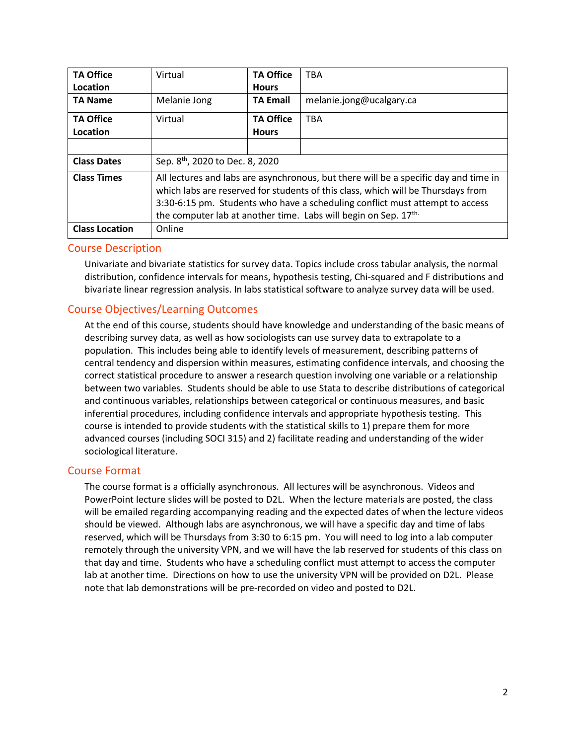| <b>TA Office</b>      | Virtual                                                                                                                                                                                                                                                                                                                     | <b>TA Office</b> | <b>TBA</b>               |  |  |
|-----------------------|-----------------------------------------------------------------------------------------------------------------------------------------------------------------------------------------------------------------------------------------------------------------------------------------------------------------------------|------------------|--------------------------|--|--|
| Location              |                                                                                                                                                                                                                                                                                                                             | <b>Hours</b>     |                          |  |  |
| <b>TA Name</b>        | Melanie Jong                                                                                                                                                                                                                                                                                                                | <b>TA Email</b>  | melanie.jong@ucalgary.ca |  |  |
| <b>TA Office</b>      | Virtual                                                                                                                                                                                                                                                                                                                     | <b>TA Office</b> | <b>TBA</b>               |  |  |
| Location              |                                                                                                                                                                                                                                                                                                                             | <b>Hours</b>     |                          |  |  |
|                       |                                                                                                                                                                                                                                                                                                                             |                  |                          |  |  |
| <b>Class Dates</b>    | Sep. 8 <sup>th</sup> , 2020 to Dec. 8, 2020                                                                                                                                                                                                                                                                                 |                  |                          |  |  |
| <b>Class Times</b>    | All lectures and labs are asynchronous, but there will be a specific day and time in<br>which labs are reserved for students of this class, which will be Thursdays from<br>3:30-6:15 pm. Students who have a scheduling conflict must attempt to access<br>the computer lab at another time. Labs will begin on Sep. 17th. |                  |                          |  |  |
| <b>Class Location</b> | Online                                                                                                                                                                                                                                                                                                                      |                  |                          |  |  |

### Course Description

Univariate and bivariate statistics for survey data. Topics include cross tabular analysis, the normal distribution, confidence intervals for means, hypothesis testing, Chi-squared and F distributions and bivariate linear regression analysis. In labs statistical software to analyze survey data will be used.

### Course Objectives/Learning Outcomes

At the end of this course, students should have knowledge and understanding of the basic means of describing survey data, as well as how sociologists can use survey data to extrapolate to a population. This includes being able to identify levels of measurement, describing patterns of central tendency and dispersion within measures, estimating confidence intervals, and choosing the correct statistical procedure to answer a research question involving one variable or a relationship between two variables. Students should be able to use Stata to describe distributions of categorical and continuous variables, relationships between categorical or continuous measures, and basic inferential procedures, including confidence intervals and appropriate hypothesis testing. This course is intended to provide students with the statistical skills to 1) prepare them for more advanced courses (including SOCI 315) and 2) facilitate reading and understanding of the wider sociological literature.

### Course Format

The course format is a officially asynchronous. All lectures will be asynchronous. Videos and PowerPoint lecture slides will be posted to D2L. When the lecture materials are posted, the class will be emailed regarding accompanying reading and the expected dates of when the lecture videos should be viewed. Although labs are asynchronous, we will have a specific day and time of labs reserved, which will be Thursdays from 3:30 to 6:15 pm. You will need to log into a lab computer remotely through the university VPN, and we will have the lab reserved for students of this class on that day and time. Students who have a scheduling conflict must attempt to access the computer lab at another time. Directions on how to use the university VPN will be provided on D2L. Please note that lab demonstrations will be pre-recorded on video and posted to D2L.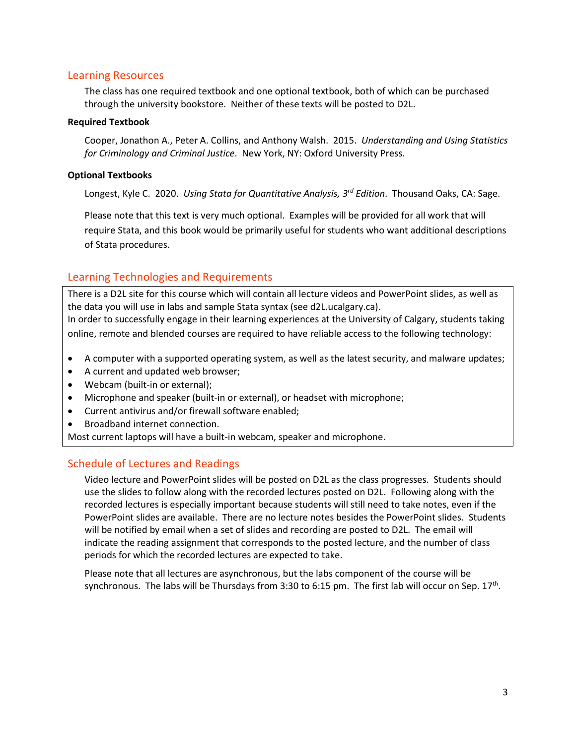#### Learning Resources

The class has one required textbook and one optional textbook, both of which can be purchased through the university bookstore. Neither of these texts will be posted to D2L.

#### **Required Textbook**

Cooper, Jonathon A., Peter A. Collins, and Anthony Walsh. 2015. *Understanding and Using Statistics for Criminology and Criminal Justice*. New York, NY: Oxford University Press.

#### **Optional Textbooks**

Longest, Kyle C. 2020. *Using Stata for Quantitative Analysis, 3rd Edition*. Thousand Oaks, CA: Sage.

Please note that this text is very much optional. Examples will be provided for all work that will require Stata, and this book would be primarily useful for students who want additional descriptions of Stata procedures.

### Learning Technologies and Requirements

There is a D2L site for this course which will contain all lecture videos and PowerPoint slides, as well as the data you will use in labs and sample Stata syntax (see d2L.ucalgary.ca). In order to successfully engage in their learning experiences at the University of Calgary, students taking online, remote and blended courses are required to have reliable access to the following technology:

- A computer with a supported operating system, as well as the latest security, and malware updates;
- A current and updated web browser;
- Webcam (built-in or external);
- Microphone and speaker (built-in or external), or headset with microphone;
- Current antivirus and/or firewall software enabled;
- Broadband internet connection.

Most current laptops will have a built-in webcam, speaker and microphone.

### Schedule of Lectures and Readings

Video lecture and PowerPoint slides will be posted on D2L as the class progresses. Students should use the slides to follow along with the recorded lectures posted on D2L. Following along with the recorded lectures is especially important because students will still need to take notes, even if the PowerPoint slides are available. There are no lecture notes besides the PowerPoint slides. Students will be notified by email when a set of slides and recording are posted to D2L. The email will indicate the reading assignment that corresponds to the posted lecture, and the number of class periods for which the recorded lectures are expected to take.

Please note that all lectures are asynchronous, but the labs component of the course will be synchronous. The labs will be Thursdays from 3:30 to 6:15 pm. The first lab will occur on Sep.  $17<sup>th</sup>$ .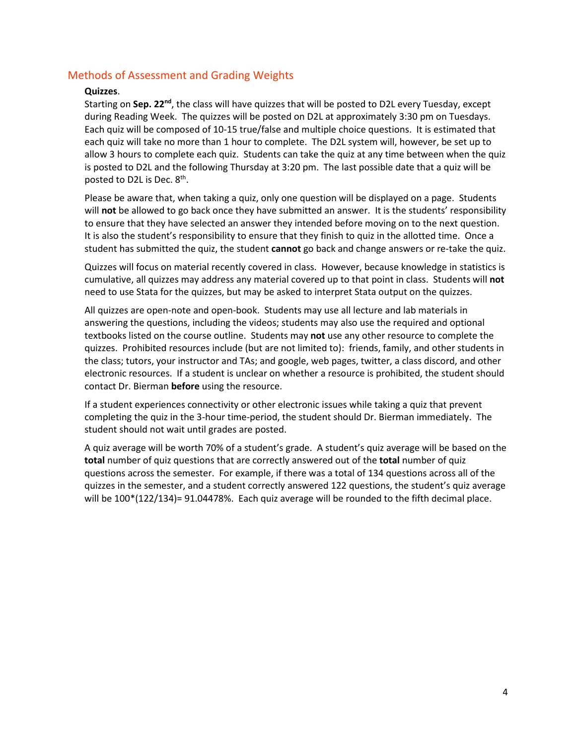### Methods of Assessment and Grading Weights

#### **Quizzes**.

Starting on **Sep. 22nd**, the class will have quizzes that will be posted to D2L every Tuesday, except during Reading Week. The quizzes will be posted on D2L at approximately 3:30 pm on Tuesdays. Each quiz will be composed of 10-15 true/false and multiple choice questions. It is estimated that each quiz will take no more than 1 hour to complete. The D2L system will, however, be set up to allow 3 hours to complete each quiz. Students can take the quiz at any time between when the quiz is posted to D2L and the following Thursday at 3:20 pm. The last possible date that a quiz will be posted to D2L is Dec. 8<sup>th</sup>.

Please be aware that, when taking a quiz, only one question will be displayed on a page. Students will **not** be allowed to go back once they have submitted an answer. It is the students' responsibility to ensure that they have selected an answer they intended before moving on to the next question. It is also the student's responsibility to ensure that they finish to quiz in the allotted time. Once a student has submitted the quiz, the student **cannot** go back and change answers or re-take the quiz.

Quizzes will focus on material recently covered in class. However, because knowledge in statistics is cumulative, all quizzes may address any material covered up to that point in class. Students will **not** need to use Stata for the quizzes, but may be asked to interpret Stata output on the quizzes.

All quizzes are open-note and open-book. Students may use all lecture and lab materials in answering the questions, including the videos; students may also use the required and optional textbooks listed on the course outline. Students may **not** use any other resource to complete the quizzes. Prohibited resources include (but are not limited to): friends, family, and other students in the class; tutors, your instructor and TAs; and google, web pages, twitter, a class discord, and other electronic resources. If a student is unclear on whether a resource is prohibited, the student should contact Dr. Bierman **before** using the resource.

If a student experiences connectivity or other electronic issues while taking a quiz that prevent completing the quiz in the 3-hour time-period, the student should Dr. Bierman immediately. The student should not wait until grades are posted.

A quiz average will be worth 70% of a student's grade. A student's quiz average will be based on the **total** number of quiz questions that are correctly answered out of the **total** number of quiz questions across the semester. For example, if there was a total of 134 questions across all of the quizzes in the semester, and a student correctly answered 122 questions, the student's quiz average will be 100\*(122/134)= 91.04478%. Each quiz average will be rounded to the fifth decimal place.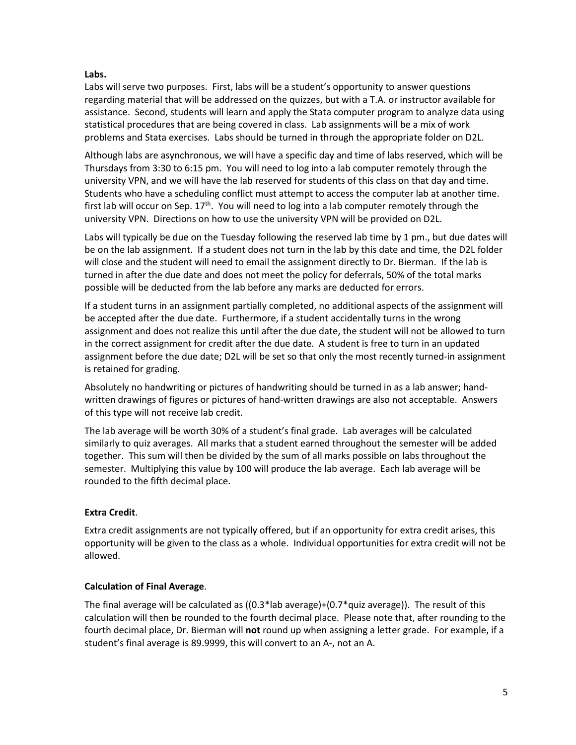#### **Labs.**

Labs will serve two purposes. First, labs will be a student's opportunity to answer questions regarding material that will be addressed on the quizzes, but with a T.A. or instructor available for assistance. Second, students will learn and apply the Stata computer program to analyze data using statistical procedures that are being covered in class. Lab assignments will be a mix of work problems and Stata exercises. Labs should be turned in through the appropriate folder on D2L.

Although labs are asynchronous, we will have a specific day and time of labs reserved, which will be Thursdays from 3:30 to 6:15 pm. You will need to log into a lab computer remotely through the university VPN, and we will have the lab reserved for students of this class on that day and time. Students who have a scheduling conflict must attempt to access the computer lab at another time. first lab will occur on Sep.  $17<sup>th</sup>$ . You will need to log into a lab computer remotely through the university VPN. Directions on how to use the university VPN will be provided on D2L.

Labs will typically be due on the Tuesday following the reserved lab time by 1 pm., but due dates will be on the lab assignment. If a student does not turn in the lab by this date and time, the D2L folder will close and the student will need to email the assignment directly to Dr. Bierman. If the lab is turned in after the due date and does not meet the policy for deferrals, 50% of the total marks possible will be deducted from the lab before any marks are deducted for errors.

If a student turns in an assignment partially completed, no additional aspects of the assignment will be accepted after the due date. Furthermore, if a student accidentally turns in the wrong assignment and does not realize this until after the due date, the student will not be allowed to turn in the correct assignment for credit after the due date. A student is free to turn in an updated assignment before the due date; D2L will be set so that only the most recently turned-in assignment is retained for grading.

Absolutely no handwriting or pictures of handwriting should be turned in as a lab answer; handwritten drawings of figures or pictures of hand-written drawings are also not acceptable. Answers of this type will not receive lab credit.

The lab average will be worth 30% of a student's final grade. Lab averages will be calculated similarly to quiz averages. All marks that a student earned throughout the semester will be added together. This sum will then be divided by the sum of all marks possible on labs throughout the semester. Multiplying this value by 100 will produce the lab average. Each lab average will be rounded to the fifth decimal place.

### **Extra Credit**.

Extra credit assignments are not typically offered, but if an opportunity for extra credit arises, this opportunity will be given to the class as a whole. Individual opportunities for extra credit will not be allowed.

### **Calculation of Final Average**.

The final average will be calculated as ((0.3\*lab average)+(0.7\*quiz average)). The result of this calculation will then be rounded to the fourth decimal place. Please note that, after rounding to the fourth decimal place, Dr. Bierman will **not** round up when assigning a letter grade. For example, if a student's final average is 89.9999, this will convert to an A-, not an A.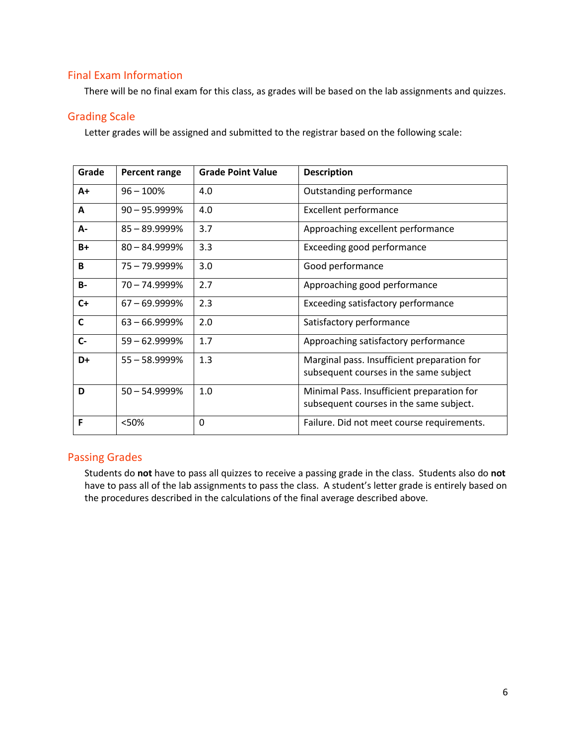### Final Exam Information

There will be no final exam for this class, as grades will be based on the lab assignments and quizzes.

### Grading Scale

Letter grades will be assigned and submitted to the registrar based on the following scale:

| Grade        | <b>Percent range</b> | <b>Grade Point Value</b> | <b>Description</b>                                                                    |
|--------------|----------------------|--------------------------|---------------------------------------------------------------------------------------|
| A+           | $96 - 100%$          | 4.0                      | Outstanding performance                                                               |
| Α            | $90 - 95.9999%$      | 4.0                      | <b>Excellent performance</b>                                                          |
| А-           | 85-89.9999%          | 3.7                      | Approaching excellent performance                                                     |
| $B+$         | $80 - 84.9999%$      | 3.3                      | Exceeding good performance                                                            |
| B            | 75 – 79.9999%        | 3.0                      | Good performance                                                                      |
| <b>B-</b>    | $70 - 74.9999%$      | 2.7                      | Approaching good performance                                                          |
| $C+$         | $67 - 69.9999\%$     | 2.3                      | Exceeding satisfactory performance                                                    |
| $\mathsf{C}$ | $63 - 66.9999%$      | 2.0                      | Satisfactory performance                                                              |
| $C -$        | $59 - 62.9999%$      | 1.7                      | Approaching satisfactory performance                                                  |
| D+           | 55 - 58.9999%        | 1.3                      | Marginal pass. Insufficient preparation for<br>subsequent courses in the same subject |
| D            | $50 - 54.9999%$      | 1.0                      | Minimal Pass. Insufficient preparation for<br>subsequent courses in the same subject. |
| F            | <50%                 | $\mathbf 0$              | Failure. Did not meet course requirements.                                            |

### Passing Grades

Students do **not** have to pass all quizzes to receive a passing grade in the class. Students also do **not** have to pass all of the lab assignments to pass the class. A student's letter grade is entirely based on the procedures described in the calculations of the final average described above.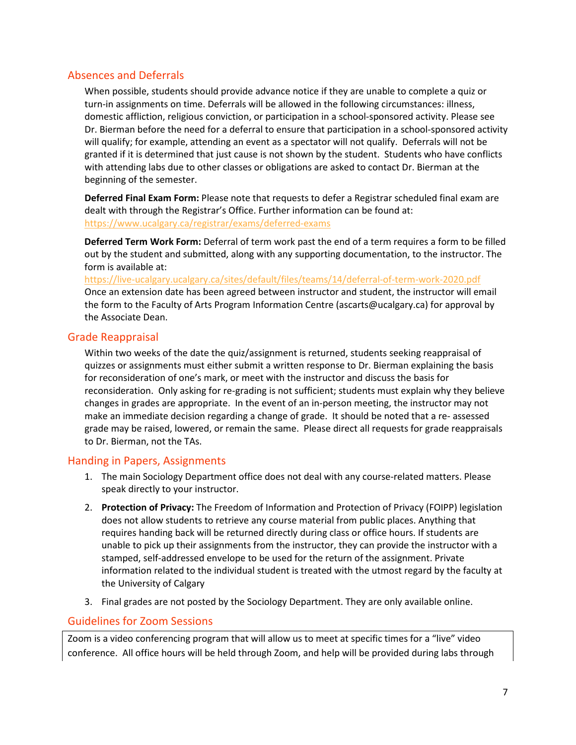### Absences and Deferrals

When possible, students should provide advance notice if they are unable to complete a quiz or turn-in assignments on time. Deferrals will be allowed in the following circumstances: illness, domestic affliction, religious conviction, or participation in a school-sponsored activity. Please see Dr. Bierman before the need for a deferral to ensure that participation in a school-sponsored activity will qualify; for example, attending an event as a spectator will not qualify. Deferrals will not be granted if it is determined that just cause is not shown by the student. Students who have conflicts with attending labs due to other classes or obligations are asked to contact Dr. Bierman at the beginning of the semester.

**Deferred Final Exam Form:** Please note that requests to defer a Registrar scheduled final exam are dealt with through the Registrar's Office. Further information can be found at: <https://www.ucalgary.ca/registrar/exams/deferred-exams>

**Deferred Term Work Form:** Deferral of term work past the end of a term requires a form to be filled out by the student and submitted, along with any supporting documentation, to the instructor. The form is available at:

<https://live-ucalgary.ucalgary.ca/sites/default/files/teams/14/deferral-of-term-work-2020.pdf> Once an extension date has been agreed between instructor and student, the instructor will email the form to the Faculty of Arts Program Information Centre (ascarts@ucalgary.ca) for approval by the Associate Dean.

### Grade Reappraisal

Within two weeks of the date the quiz/assignment is returned, students seeking reappraisal of quizzes or assignments must either submit a written response to Dr. Bierman explaining the basis for reconsideration of one's mark, or meet with the instructor and discuss the basis for reconsideration. Only asking for re-grading is not sufficient; students must explain why they believe changes in grades are appropriate. In the event of an in-person meeting, the instructor may not make an immediate decision regarding a change of grade. It should be noted that a re- assessed grade may be raised, lowered, or remain the same. Please direct all requests for grade reappraisals to Dr. Bierman, not the TAs.

### Handing in Papers, Assignments

- 1. The main Sociology Department office does not deal with any course-related matters. Please speak directly to your instructor.
- 2. **Protection of Privacy:** The Freedom of Information and Protection of Privacy (FOIPP) legislation does not allow students to retrieve any course material from public places. Anything that requires handing back will be returned directly during class or office hours. If students are unable to pick up their assignments from the instructor, they can provide the instructor with a stamped, self-addressed envelope to be used for the return of the assignment. Private information related to the individual student is treated with the utmost regard by the faculty at the University of Calgary
- 3. Final grades are not posted by the Sociology Department. They are only available online.

### Guidelines for Zoom Sessions

Zoom is a video conferencing program that will allow us to meet at specific times for a "live" video conference. All office hours will be held through Zoom, and help will be provided during labs through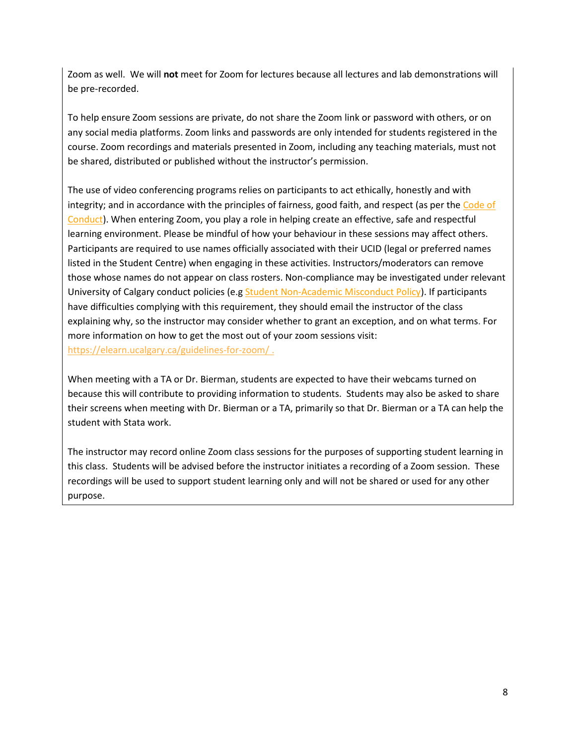Zoom as well. We will **not** meet for Zoom for lectures because all lectures and lab demonstrations will be pre-recorded.

To help ensure Zoom sessions are private, do not share the Zoom link or password with others, or on any social media platforms. Zoom links and passwords are only intended for students registered in the course. Zoom recordings and materials presented in Zoom, including any teaching materials, must not be shared, distributed or published without the instructor's permission.

The use of video conferencing programs relies on participants to act ethically, honestly and with integrity; and in accordance with the principles of fairness, good faith, and respect (as per the [Code of](https://www.ucalgary.ca/policies/files/policies/code-of-conduct.pdf)  [Conduct\)](https://www.ucalgary.ca/policies/files/policies/code-of-conduct.pdf). When entering Zoom, you play a role in helping create an effective, safe and respectful learning environment. Please be mindful of how your behaviour in these sessions may affect others. Participants are required to use names officially associated with their UCID (legal or preferred names listed in the Student Centre) when engaging in these activities. Instructors/moderators can remove those whose names do not appear on class rosters. Non-compliance may be investigated under relevant University of Calgary conduct policies (e.g [Student Non-Academic Misconduct Policy\)](https://ucalgary.ca/policies/files/policies/non-academic-misconduct-policy.pdf). If participants have difficulties complying with this requirement, they should email the instructor of the class explaining why, so the instructor may consider whether to grant an exception, and on what terms. For more information on how to get the most out of your zoom sessions visit: <https://elearn.ucalgary.ca/guidelines-for-zoom/>.

When meeting with a TA or Dr. Bierman, students are expected to have their webcams turned on because this will contribute to providing information to students. Students may also be asked to share their screens when meeting with Dr. Bierman or a TA, primarily so that Dr. Bierman or a TA can help the student with Stata work.

The instructor may record online Zoom class sessions for the purposes of supporting student learning in this class. Students will be advised before the instructor initiates a recording of a Zoom session. These recordings will be used to support student learning only and will not be shared or used for any other purpose.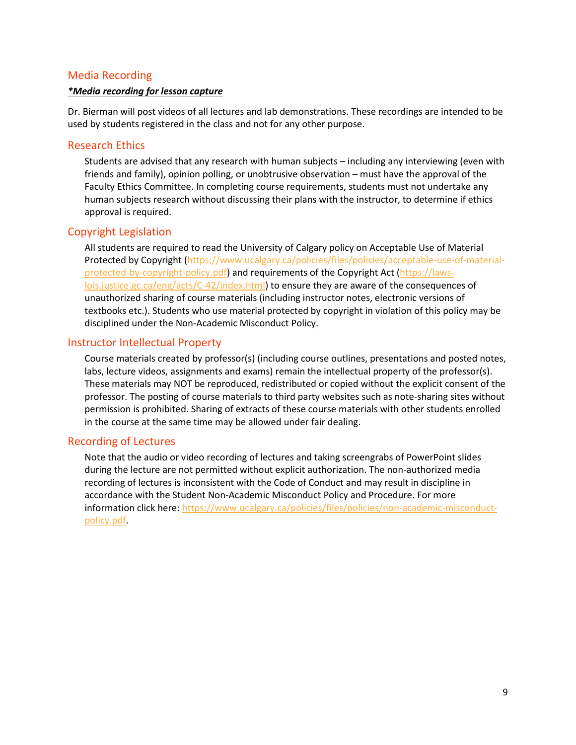### Media Recording

#### *\*Media recording for lesson capture*

Dr. Bierman will post videos of all lectures and lab demonstrations. These recordings are intended to be used by students registered in the class and not for any other purpose.

#### Research Ethics

Students are advised that any research with human subjects – including any interviewing (even with friends and family), opinion polling, or unobtrusive observation – must have the approval of the Faculty Ethics Committee. In completing course requirements, students must not undertake any human subjects research without discussing their plans with the instructor, to determine if ethics approval is required.

#### Copyright Legislation

All students are required to read the University of Calgary policy on Acceptable Use of Material Protected by Copyright [\(https://www.ucalgary.ca/policies/files/policies/acceptable-use-of-material](https://www.ucalgary.ca/policies/files/policies/acceptable-use-of-material-protected-by-copyright-policy.pdf)[protected-by-copyright-policy.pdf\)](https://www.ucalgary.ca/policies/files/policies/acceptable-use-of-material-protected-by-copyright-policy.pdf) and requirements of the Copyright Act [\(https://laws](https://laws-lois.justice.gc.ca/eng/acts/C-42/index.html)[lois.justice.gc.ca/eng/acts/C-42/index.html\)](https://laws-lois.justice.gc.ca/eng/acts/C-42/index.html) to ensure they are aware of the consequences of unauthorized sharing of course materials (including instructor notes, electronic versions of textbooks etc.). Students who use material protected by copyright in violation of this policy may be disciplined under the Non-Academic Misconduct Policy.

#### Instructor Intellectual Property

Course materials created by professor(s) (including course outlines, presentations and posted notes, labs, lecture videos, assignments and exams) remain the intellectual property of the professor(s). These materials may NOT be reproduced, redistributed or copied without the explicit consent of the professor. The posting of course materials to third party websites such as note-sharing sites without permission is prohibited. Sharing of extracts of these course materials with other students enrolled in the course at the same time may be allowed under fair dealing.

#### Recording of Lectures

Note that the audio or video recording of lectures and taking screengrabs of PowerPoint slides during the lecture are not permitted without explicit authorization. The non-authorized media recording of lectures is inconsistent with the Code of Conduct and may result in discipline in accordance with the Student Non-Academic Misconduct Policy and Procedure. For more information click here: [https://www.ucalgary.ca/policies/files/policies/non-academic-misconduct](https://www.ucalgary.ca/policies/files/policies/non-academic-misconduct-policy.pdf)[policy.pdf.](https://www.ucalgary.ca/policies/files/policies/non-academic-misconduct-policy.pdf)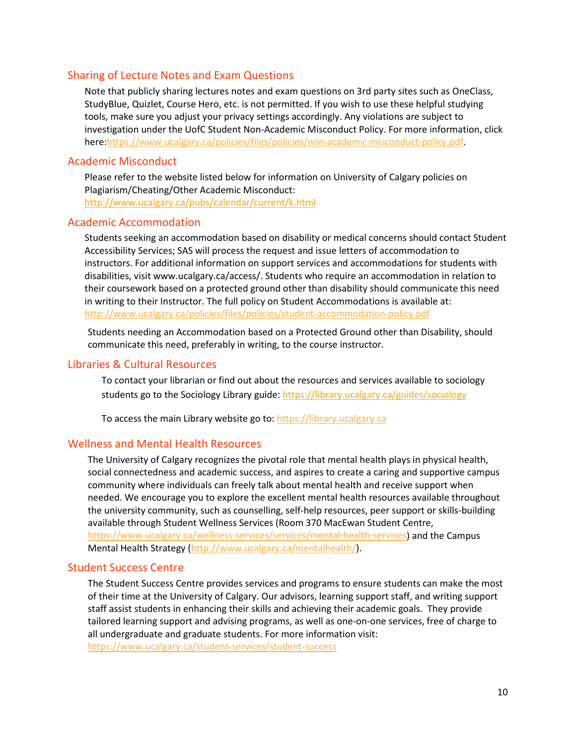### Sharing of Lecture Notes and Exam Questions

Note that publicly sharing lectures notes and exam questions on 3rd party sites such as OneClass, StudyBlue, Quizlet, Course Hero, etc. is not permitted. If you wish to use these helpful studying tools, make sure you adjust your privacy settings accordingly. Any violations are subject to investigation under the UofC Student Non-Academic Misconduct Policy. For more information, click here[:https://www.ucalgary.ca/policies/files/policies/non-academic-misconduct-policy.pdf.](https://www.ucalgary.ca/policies/files/policies/non-academic-misconduct-policy.pdf)

#### Academic Misconduct

Please refer to the website listed below for information on University of Calgary policies on Plagiarism/Cheating/Other Academic Misconduct: <http://www.ucalgary.ca/pubs/calendar/current/k.html>

#### Academic Accommodation

Students seeking an accommodation based on disability or medical concerns should contact Student Accessibility Services; SAS will process the request and issue letters of accommodation to instructors. For additional information on support services and accommodations for students with disabilities, visit www.ucalgary.ca/access/. Students who require an accommodation in relation to their coursework based on a protected ground other than disability should communicate this need in writing to their Instructor. The full policy on Student Accommodations is available at: <http://www.ucalgary.ca/policies/files/policies/student-accommodation-policy.pdf>

Students needing an Accommodation based on a Protected Ground other than Disability, should communicate this need, preferably in writing, to the course instructor.

#### Libraries & Cultural Resources

To contact your librarian or find out about the resources and services available to sociology students go to the Sociology Library guide[: https://library.ucalgary.ca/guides/sociology](https://library.ucalgary.ca/guides/sociology)

To access the main Library website go to: [https://library.ucalgary.ca](https://library.ucalgary.ca/)

#### Wellness and Mental Health Resources

The University of Calgary recognizes the pivotal role that mental health plays in physical health, social connectedness and academic success, and aspires to create a caring and supportive campus community where individuals can freely talk about mental health and receive support when needed. We encourage you to explore the excellent mental health resources available throughout the university community, such as counselling, self-help resources, peer support or skills-building available through Student Wellness Services (Room 370 MacEwan Student Centre, [https://www.ucalgary.ca/wellness-services/services/mental-health-services\)](https://www.ucalgary.ca/wellness-services/services/mental-health-services) and the Campus Mental Health Strategy [\(http://www.ucalgary.ca/mentalhealth/\)](http://www.ucalgary.ca/mentalhealth/).

#### Student Success Centre

The Student Success Centre provides services and programs to ensure students can make the most of their time at the University of Calgary. Our advisors, learning support staff, and writing support staff assist students in enhancing their skills and achieving their academic goals. They provide tailored learning support and advising programs, as well as one-on-one services, free of charge to all undergraduate and graduate students. For more information visit: <https://www.ucalgary.ca/student-services/student-success>